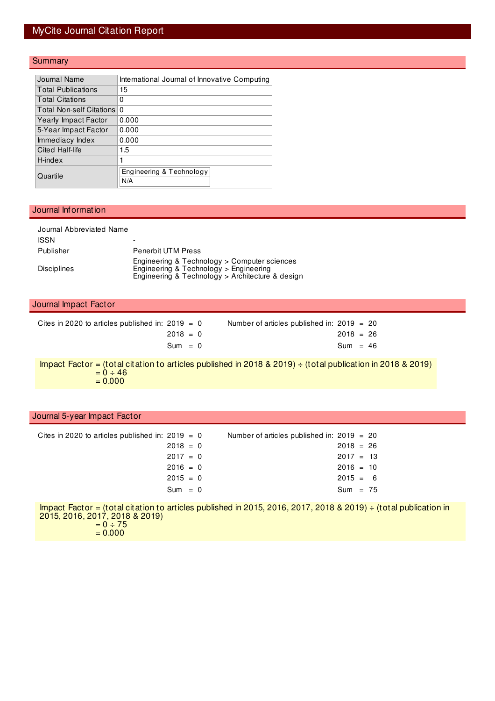## MyCite Journal Citation Report

### **Summary**

| Journal Name                    | International Journal of Innovative Computing |
|---------------------------------|-----------------------------------------------|
| <b>Total Publications</b>       | 15                                            |
| <b>Total Citations</b>          | 0                                             |
| <b>Total Non-self Citations</b> | $\Omega$                                      |
| Yearly Impact Factor            | 0.000                                         |
| 5-Year Impact Factor            | 0.000                                         |
| Immediacy Index                 | 0.000                                         |
| Cited Half-life                 | 1.5                                           |
| H-index                         |                                               |
| Quartile                        | Engineering & Technology<br>N/A               |

#### Journal Information

| Journal Abbreviated Name |                                                                                                                                            |
|--------------------------|--------------------------------------------------------------------------------------------------------------------------------------------|
| <b>ISSN</b>              |                                                                                                                                            |
| Publisher                | <b>Penerbit UTM Press</b>                                                                                                                  |
| <b>Disciplines</b>       | Engineering & Technology > Computer sciences<br>Engineering & Technology > Engineering<br>Engineering & Technology > Architecture & design |

#### Journal Impact Factor

| Cites in 2020 to articles published in: $2019 = 0$ | Number of articles published in: $2019 = 20$ |             |  |
|----------------------------------------------------|----------------------------------------------|-------------|--|
| $2018 = 0$                                         |                                              | $2018 = 26$ |  |
| $Sum = 0$                                          |                                              | $Sum = 46$  |  |

Impact Factor = (total citation to articles published in 2018 & 2019) ÷ (total publication in 2018 & 2019)  $= 0 \div 46$  $= 0.000$ 

#### Journal 5-year Impact Factor

| Cites in 2020 to articles published in: $2019 = 0$ |            | Number of articles published in: $2019 = 20$ |  |
|----------------------------------------------------|------------|----------------------------------------------|--|
|                                                    | $2018 = 0$ | $2018 = 26$                                  |  |
|                                                    | $2017 = 0$ | $2017 = 13$                                  |  |
|                                                    | $2016 = 0$ | $2016 = 10$                                  |  |
|                                                    | $2015 = 0$ | $2015 = 6$                                   |  |
|                                                    | $Sum = 0$  | $Sum = 75$                                   |  |

Impact Factor = (total citation to articles published in 2015, 2016, 2017, 2018 & 2019) ÷ (total publication in 2015, 2016, 2017, 2018 & 2019)  $= 0 \div 75$  $= 0.000$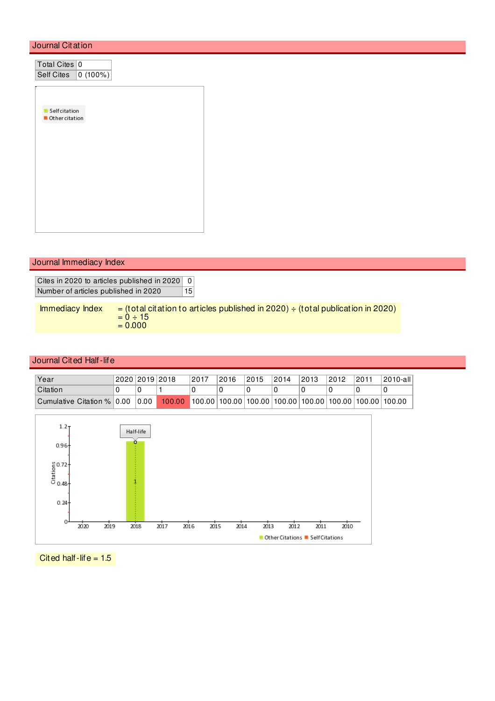#### Journal Citation

| Total Cites 0  |              |  |
|----------------|--------------|--|
| Self Cites     | $ 0(100\%) $ |  |
|                |              |  |
|                |              |  |
| Self citation  |              |  |
| Other citation |              |  |
|                |              |  |
|                |              |  |
|                |              |  |
|                |              |  |
|                |              |  |
|                |              |  |
|                |              |  |
|                |              |  |
|                |              |  |
|                |              |  |

### Journal Immediacy Index

Cites in 2020 to articles published in 2020 0 Number of articles published in 2020 15

Immediacy Index  $=$  (total citation to articles published in 2020)  $\div$  (total publication in 2020)  $= 0 \div 15$  $= 0.000$ 

#### Journal Cited Half-life

| Year                         | 2020 2019 2018 |        | 2017 | 2016 | 2015 | 2014 | 2013 | 2012 | 2011 | 2010-all                                                                     |
|------------------------------|----------------|--------|------|------|------|------|------|------|------|------------------------------------------------------------------------------|
| Citation                     |                |        |      |      |      |      |      |      |      |                                                                              |
| Cumulative Citation %   0.00 | 0.00           | 100.00 |      |      |      |      |      |      |      | $\mid$ 100.00   100.00   100.00   100.00   100.00   100.00   100.00   100.00 |